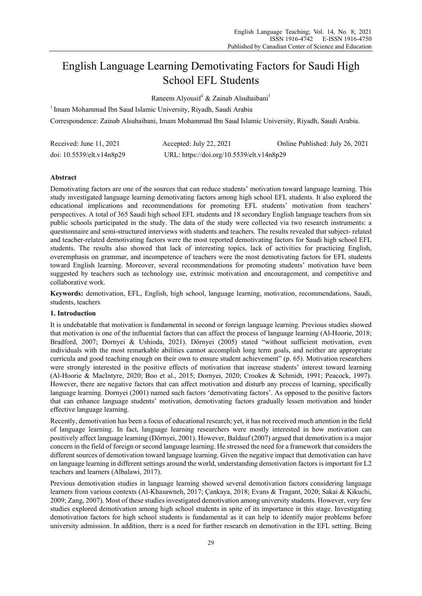# English Language Learning Demotivating Factors for Saudi High School EFL Students

Raneem Alyousif<sup>1</sup> & Zainab Alsuhaibani<sup>1</sup>

<sup>1</sup> Imam Mohammad Ibn Saud Islamic University, Riyadh, Saudi Arabia

Correspondence: Zainab Alsuhaibani, Imam Mohammad Ibn Saud Islamic University, Riyadh, Saudi Arabia.

| Received: June 11, 2021   | Accepted: July 22, 2021                   | Online Published: July 26, 2021 |
|---------------------------|-------------------------------------------|---------------------------------|
| doi: 10.5539/elt.v14n8p29 | URL: https://doi.org/10.5539/elt.v14n8p29 |                                 |

# **Abstract**

Demotivating factors are one of the sources that can reduce students' motivation toward language learning. This study investigated language learning demotivating factors among high school EFL students. It also explored the educational implications and recommendations for promoting EFL students' motivation from teachers' perspectives. A total of 365 Saudi high school EFL students and 18 secondary English language teachers from six public schools participated in the study. The data of the study were collected via two research instruments: a questionnaire and semi-structured interviews with students and teachers. The results revealed that subject- related and teacher-related demotivating factors were the most reported demotivating factors for Saudi high school EFL students. The results also showed that lack of interesting topics, lack of activities for practicing English, overemphasis on grammar, and incompetence of teachers were the most demotivating factors for EFL students toward English learning. Moreover, several recommendations for promoting students' motivation have been suggested by teachers such as technology use, extrinsic motivation and encouragement, and competitive and collaborative work.

**Keywords:** demotivation, EFL, English, high school, language learning, motivation, recommendations, Saudi, students, teachers

# **1. Introduction**

It is undebatable that motivation is fundamental in second or foreign language learning. Previous studies showed that motivation is one of the influential factors that can affect the process of language learning (Al-Hoorie, 2018; Bradford, 2007; Dornyei & Ushioda, 2021). Dörnyei (2005) stated "without sufficient motivation, even individuals with the most remarkable abilities cannot accomplish long term goals, and neither are appropriate curricula and good teaching enough on their own to ensure student achievement" (p. 65). Motivation researchers were strongly interested in the positive effects of motivation that increase students' interest toward learning (Al-Hoorie & MacIntyre, 2020; Boo et al., 2015; Dornyei, 2020; Crookes & Schmidt, 1991; Peacock, 1997). However, there are negative factors that can affect motivation and disturb any process of learning, specifically language learning. Dornyei (2001) named such factors 'demotivating factors'. As opposed to the positive factors that can enhance language students' motivation, demotivating factors gradually lessen motivation and hinder effective language learning.

Recently, demotivation has been a focus of educational research; yet, it has not received much attention in the field of language learning. In fact, language learning researchers were mostly interested in how motivation can positively affect language learning (Dörnyei, 2001). However, Baldauf (2007) argued that demotivation is a major concern in the field of foreign or second language learning. He stressed the need for a framework that considers the different sources of demotivation toward language learning. Given the negative impact that demotivation can have on language learning in different settings around the world, understanding demotivation factors is important for L2 teachers and learners (Albalawi, 2017).

Previous demotivation studies in language learning showed several demotivation factors considering language learners from various contexts (Al-Khasawneh, 2017; Çankaya, 2018; Evans & Tragant, 2020; Sakai & Kikuchi, 2009; Zang, 2007). Most of these studies investigated demotivation among university students. However, very few studies explored demotivation among high school students in spite of its importance in this stage. Investigating demotivation factors for high school students is fundamental as it can help to identify major problems before university admission. In addition, there is a need for further research on demotivation in the EFL setting. Being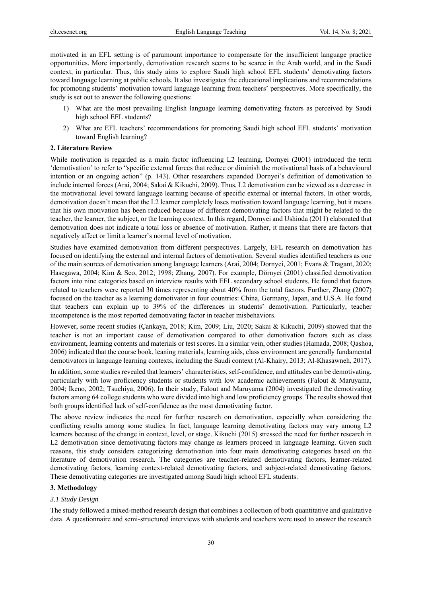motivated in an EFL setting is of paramount importance to compensate for the insufficient language practice opportunities. More importantly, demotivation research seems to be scarce in the Arab world, and in the Saudi context, in particular. Thus, this study aims to explore Saudi high school EFL students' demotivating factors toward language learning at public schools. It also investigates the educational implications and recommendations for promoting students' motivation toward language learning from teachers' perspectives. More specifically, the study is set out to answer the following questions:

- 1) What are the most prevailing English language learning demotivating factors as perceived by Saudi high school EFL students?
- 2) What are EFL teachers' recommendations for promoting Saudi high school EFL students' motivation toward English learning?

# **2. Literature Review**

While motivation is regarded as a main factor influencing L2 learning, Dornyei (2001) introduced the term 'demotivation' to refer to "specific external forces that reduce or diminish the motivational basis of a behavioural intention or an ongoing action" (p. 143). Other researchers expanded Dornyei's definition of demotivation to include internal forces (Arai, 2004; Sakai & Kikuchi, 2009). Thus, L2 demotivation can be viewed as a decrease in the motivational level toward language learning because of specific external or internal factors. In other words, demotivation doesn't mean that the L2 learner completely loses motivation toward language learning, but it means that his own motivation has been reduced because of different demotivating factors that might be related to the teacher, the learner, the subject, or the learning context. In this regard, Dornyei and Ushioda (2011) elaborated that demotivation does not indicate a total loss or absence of motivation. Rather, it means that there are factors that negatively affect or limit a learner's normal level of motivation.

Studies have examined demotivation from different perspectives. Largely, EFL research on demotivation has focused on identifying the external and internal factors of demotivation. Several studies identified teachers as one of the main sources of demotivation among language learners (Arai, 2004; Dornyei, 2001; Evans & Tragant, 2020; Hasegawa, 2004; Kim & Seo, 2012; 1998; Zhang, 2007). For example, Dörnyei (2001) classified demotivation factors into nine categories based on interview results with EFL secondary school students. He found that factors related to teachers were reported 30 times representing about 40% from the total factors. Further, Zhang (2007) focused on the teacher as a learning demotivator in four countries: China, Germany, Japan, and U.S.A. He found that teachers can explain up to 39% of the differences in students' demotivation. Particularly, teacher incompetence is the most reported demotivating factor in teacher misbehaviors.

However, some recent studies (Çankaya, 2018; Kim, 2009; Liu, 2020; Sakai & Kikuchi, 2009) showed that the teacher is not an important cause of demotivation compared to other demotivation factors such as class environment, learning contents and materials or test scores. In a similar vein, other studies (Hamada, 2008; Qashoa, 2006) indicated that the course book, leaning materials, learning aids, class environment are generally fundamental demotivators in language learning contexts, including the Saudi context (Al-Khairy, 2013; Al-Khasawneh, 2017).

In addition, some studies revealed that learners' characteristics, self-confidence, and attitudes can be demotivating, particularly with low proficiency students or students with low academic achievements (Falout & Maruyama, 2004; Ikeno, 2002; Tsuchiya, 2006). In their study, Falout and Maruyama (2004) investigated the demotivating factors among 64 college students who were divided into high and low proficiency groups. The results showed that both groups identified lack of self-confidence as the most demotivating factor.

The above review indicates the need for further research on demotivation, especially when considering the conflicting results among some studies. In fact, language learning demotivating factors may vary among L2 learners because of the change in context, level, or stage. Kikuchi (2015) stressed the need for further research in L2 demotivation since demotivating factors may change as learners proceed in language learning. Given such reasons, this study considers categorizing demotivation into four main demotivating categories based on the literature of demotivation research. The categories are teacher-related demotivating factors, learner-related demotivating factors, learning context-related demotivating factors, and subject-related demotivating factors. These demotivating categories are investigated among Saudi high school EFL students.

#### **3. Methodology**

#### *3.1 Study Design*

The study followed a mixed-method research design that combines a collection of both quantitative and qualitative data. A questionnaire and semi-structured interviews with students and teachers were used to answer the research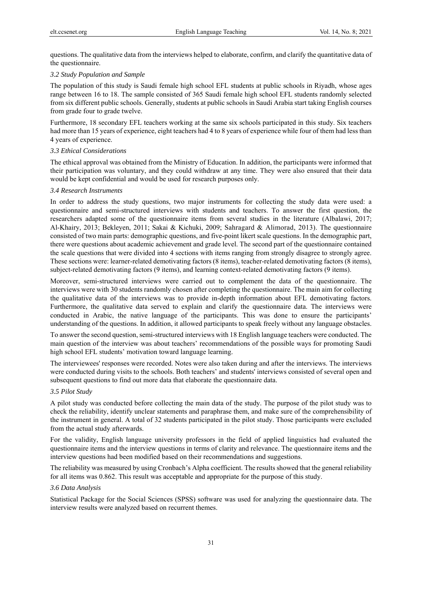questions. The qualitative data from the interviews helped to elaborate, confirm, and clarify the quantitative data of the questionnaire.

#### *3.2 Study Population and Sample*

The population of this study is Saudi female high school EFL students at public schools in Riyadh, whose ages range between 16 to 18. The sample consisted of 365 Saudi female high school EFL students randomly selected from six different public schools. Generally, students at public schools in Saudi Arabia start taking English courses from grade four to grade twelve.

Furthermore, 18 secondary EFL teachers working at the same six schools participated in this study. Six teachers had more than 15 years of experience, eight teachers had 4 to 8 years of experience while four of them had less than 4 years of experience.

# *3.3 Ethical Considerations*

The ethical approval was obtained from the Ministry of Education. In addition, the participants were informed that their participation was voluntary, and they could withdraw at any time. They were also ensured that their data would be kept confidential and would be used for research purposes only.

## *3.4 Research Instruments*

In order to address the study questions, two major instruments for collecting the study data were used: a questionnaire and semi-structured interviews with students and teachers. To answer the first question, the researchers adapted some of the questionnaire items from several studies in the literature (Albalawi, 2017; Al-Khairy, 2013; Bekleyen, 2011; Sakai & Kichuki, 2009; Sahragard & Alimorad, 2013). The questionnaire consisted of two main parts: demographic questions, and five-point likert scale questions. In the demographic part, there were questions about academic achievement and grade level. The second part of the questionnaire contained the scale questions that were divided into 4 sections with items ranging from strongly disagree to strongly agree. These sections were: learner-related demotivating factors (8 items), teacher-related demotivating factors (8 items), subject-related demotivating factors (9 items), and learning context-related demotivating factors (9 items).

Moreover, semi-structured interviews were carried out to complement the data of the questionnaire. The interviews were with 30 students randomly chosen after completing the questionnaire. The main aim for collecting the qualitative data of the interviews was to provide in-depth information about EFL demotivating factors. Furthermore, the qualitative data served to explain and clarify the questionnaire data. The interviews were conducted in Arabic, the native language of the participants. This was done to ensure the participants' understanding of the questions. In addition, it allowed participants to speak freely without any language obstacles.

To answer the second question, semi-structured interviews with 18 English language teachers were conducted. The main question of the interview was about teachers' recommendations of the possible ways for promoting Saudi high school EFL students' motivation toward language learning.

The interviewees' responses were recorded. Notes were also taken during and after the interviews. The interviews were conducted during visits to the schools. Both teachers' and students' interviews consisted of several open and subsequent questions to find out more data that elaborate the questionnaire data.

# *3.5 Pilot Study*

A pilot study was conducted before collecting the main data of the study. The purpose of the pilot study was to check the reliability, identify unclear statements and paraphrase them, and make sure of the comprehensibility of the instrument in general. A total of 32 students participated in the pilot study. Those participants were excluded from the actual study afterwards.

For the validity, English language university professors in the field of applied linguistics had evaluated the questionnaire items and the interview questions in terms of clarity and relevance. The questionnaire items and the interview questions had been modified based on their recommendations and suggestions.

The reliability was measured by using Cronbach's Alpha coefficient. The results showed that the general reliability for all items was 0.862. This result was acceptable and appropriate for the purpose of this study.

#### *3.6 Data Analysis*

Statistical Package for the Social Sciences (SPSS) software was used for analyzing the questionnaire data. The interview results were analyzed based on recurrent themes.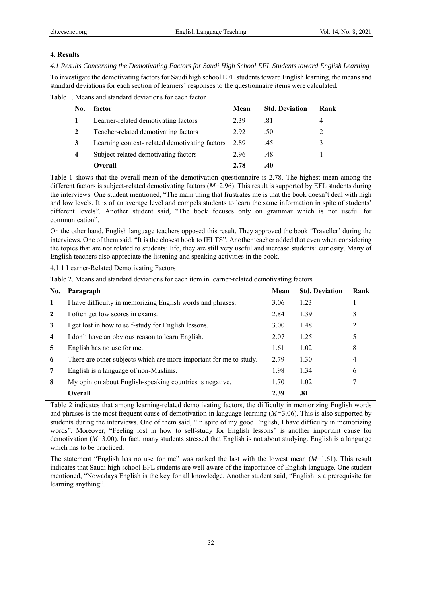# **4. Results**

*4.1 Results Concerning the Demotivating Factors for Saudi High School EFL Students toward English Learning*  To investigate the demotivating factors for Saudi high school EFL students toward English learning, the means and standard deviations for each section of learners' responses to the questionnaire items were calculated.

| No. | factor                                        | Mean | <b>Std. Deviation</b> | Rank |
|-----|-----------------------------------------------|------|-----------------------|------|
|     | Learner-related demotivating factors          | 2.39 | .81                   |      |
|     | Teacher-related demotivating factors          | 2.92 | .50                   |      |
|     | Learning context-related demotivating factors | 2.89 | .45                   |      |
| 4   | Subject-related demotivating factors          | 2.96 | .48                   |      |
|     | Overall                                       | 2.78 | .40                   |      |

Table 1. Means and standard deviations for each factor

Table 1 shows that the overall mean of the demotivation questionnaire is 2.78. The highest mean among the different factors is subject-related demotivating factors (*M*=2.96). This result is supported by EFL students during the interviews. One student mentioned, "The main thing that frustrates me is that the book doesn't deal with high and low levels. It is of an average level and compels students to learn the same information in spite of students' different levels". Another student said, "The book focuses only on grammar which is not useful for communication".

On the other hand, English language teachers opposed this result. They approved the book 'Traveller' during the interviews. One of them said, "It is the closest book to IELTS". Another teacher added that even when considering the topics that are not related to students' life, they are still very useful and increase students' curiosity. Many of English teachers also appreciate the listening and speaking activities in the book.

4.1.1 Learner-Related Demotivating Factors

| Table 2. Means and standard deviations for each item in learner-related demotivating factors |  |  |  |  |
|----------------------------------------------------------------------------------------------|--|--|--|--|
|                                                                                              |  |  |  |  |

| No. | Paragraph                                                          | Mean | <b>Std. Deviation</b> | Rank |
|-----|--------------------------------------------------------------------|------|-----------------------|------|
|     | I have difficulty in memorizing English words and phrases.         | 3.06 | 1.23                  |      |
|     | I often get low scores in exams.                                   | 2.84 | 1.39                  |      |
| 3   | I get lost in how to self-study for English lessons.               | 3.00 | 1.48                  | 2    |
| 4   | I don't have an obvious reason to learn English.                   | 2.07 | 1.25                  | 5    |
| 5   | English has no use for me.                                         | 1.61 | 1.02                  | 8    |
| 6   | There are other subjects which are more important for me to study. | 2.79 | 1.30                  | 4    |
| 7   | English is a language of non-Muslims.                              | 1.98 | 1.34                  | 6    |
| 8   | My opinion about English-speaking countries is negative.           | 1.70 | 1.02                  |      |
|     | Overall                                                            | 2.39 | .81                   |      |

Table 2 indicates that among learning-related demotivating factors, the difficulty in memorizing English words and phrases is the most frequent cause of demotivation in language learning (*M=*3.06). This is also supported by students during the interviews. One of them said, "In spite of my good English, I have difficulty in memorizing words". Moreover, "Feeling lost in how to self-study for English lessons" is another important cause for demotivation (*M*=3.00). In fact, many students stressed that English is not about studying. English is a language which has to be practiced.

The statement "English has no use for me" was ranked the last with the lowest mean (*M*=1.61). This result indicates that Saudi high school EFL students are well aware of the importance of English language. One student mentioned, "Nowadays English is the key for all knowledge. Another student said, "English is a prerequisite for learning anything".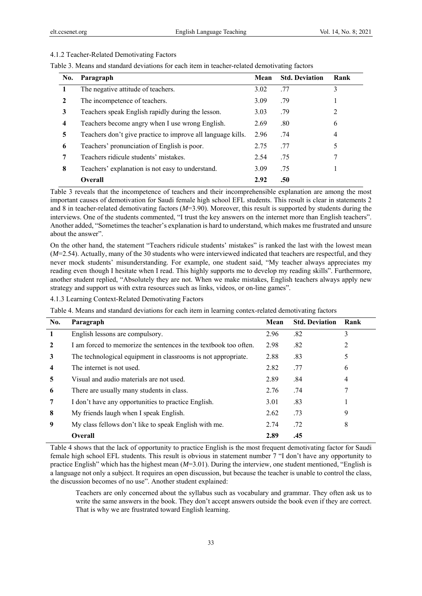## 4.1.2 Teacher-Related Demotivating Factors

| Table 3. Means and standard deviations for each item in teacher-related demotivating factors |  |  |  |
|----------------------------------------------------------------------------------------------|--|--|--|
|                                                                                              |  |  |  |

| No. | Paragraph                                                   | Mean | <b>Std. Deviation</b> | Rank |
|-----|-------------------------------------------------------------|------|-----------------------|------|
|     | The negative attitude of teachers.                          | 3.02 | .77                   | 3    |
| 2   | The incompetence of teachers.                               | 3.09 | .79                   |      |
| 3   | Teachers speak English rapidly during the lesson.           | 3.03 | .79                   | 2    |
| 4   | Teachers become angry when I use wrong English.             | 2.69 | .80                   | 6    |
| 5   | Teachers don't give practice to improve all language kills. | 2.96 | .74                   | 4    |
| 6   | Teachers' pronunciation of English is poor.                 | 2.75 | .77                   | 5    |
| 7   | Teachers ridicule students' mistakes.                       | 2.54 | .75                   | 7    |
| 8   | Teachers' explanation is not easy to understand.            | 3.09 | .75                   |      |
|     | <b>Overall</b>                                              | 2.92 | .50                   |      |

Table 3 reveals that the incompetence of teachers and their incomprehensible explanation are among the most important causes of demotivation for Saudi female high school EFL students. This result is clear in statements 2 and 8 in teacher-related demotivating factors (*M*=3.90). Moreover, this result is supported by students during the interviews. One of the students commented, "I trust the key answers on the internet more than English teachers". Another added, "Sometimes the teacher's explanation is hard to understand, which makes me frustrated and unsure about the answer".

On the other hand, the statement "Teachers ridicule students' mistakes" is ranked the last with the lowest mean (*M*=2.54). Actually, many of the 30 students who were interviewed indicated that teachers are respectful, and they never mock students' misunderstanding. For example, one student said, "My teacher always appreciates my reading even though I hesitate when I read. This highly supports me to develop my reading skills". Furthermore, another student replied, "Absolutely they are not. When we make mistakes, English teachers always apply new strategy and support us with extra resources such as links, videos, or on-line games".

4.1.3 Learning Context-Related Demotivating Factors

Table 4. Means and standard deviations for each item in learning contex-related demotivating factors

| No.          | Paragraph                                                        | Mean | <b>Std. Deviation</b> | Rank |
|--------------|------------------------------------------------------------------|------|-----------------------|------|
| $\mathbf{1}$ | English lessons are compulsory.                                  | 2.96 | .82                   | 3    |
| $\mathbf{2}$ | I am forced to memorize the sentences in the textbook too often. | 2.98 | .82                   | 2    |
| 3            | The technological equipment in classrooms is not appropriate.    | 2.88 | .83                   |      |
| 4            | The internet is not used.                                        | 2.82 | .77                   | 6    |
| 5            | Visual and audio materials are not used.                         | 2.89 | .84                   | 4    |
| 6            | There are usually many students in class.                        | 2.76 | .74                   |      |
| 7            | I don't have any opportunities to practice English.              | 3.01 | .83                   |      |
| 8            | My friends laugh when I speak English.                           | 2.62 | .73                   | 9    |
| 9            | My class fellows don't like to speak English with me.            | 2.74 | .72                   | 8    |
|              | Overall                                                          | 2.89 | .45                   |      |

Table 4 shows that the lack of opportunity to practice English is the most frequent demotivating factor for Saudi female high school EFL students. This result is obvious in statement number 7 "I don't have any opportunity to practice English" which has the highest mean (*M*=3.01). During the interview, one student mentioned, "English is a language not only a subject. It requires an open discussion, but because the teacher is unable to control the class, the discussion becomes of no use". Another student explained:

Teachers are only concerned about the syllabus such as vocabulary and grammar. They often ask us to write the same answers in the book. They don't accept answers outside the book even if they are correct. That is why we are frustrated toward English learning.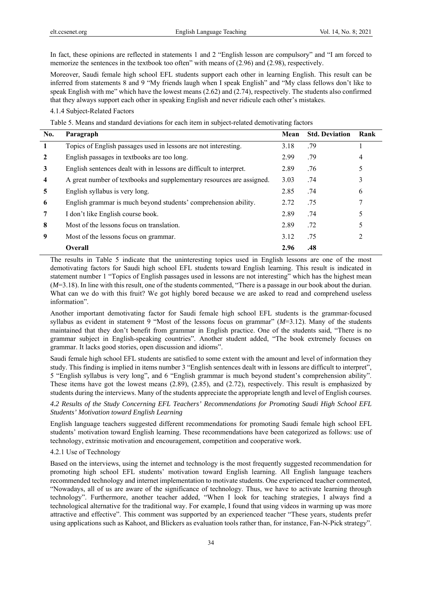In fact, these opinions are reflected in statements 1 and 2 "English lesson are compulsory" and "I am forced to memorize the sentences in the textbook too often" with means of (2.96) and (2.98), respectively.

Moreover, Saudi female high school EFL students support each other in learning English. This result can be inferred from statements 8 and 9 "My friends laugh when I speak English" and "My class fellows don't like to speak English with me" which have the lowest means (2.62) and (2.74), respectively. The students also confirmed that they always support each other in speaking English and never ridicule each other's mistakes.

# 4.1.4 Subject-Related Factors

Table 5. Means and standard deviations for each item in subject-related demotivating factors

| No. | Paragraph                                                             | Mean | <b>Std. Deviation</b> | Rank |
|-----|-----------------------------------------------------------------------|------|-----------------------|------|
|     | Topics of English passages used in lessons are not interesting.       | 3.18 | .79                   |      |
|     | English passages in textbooks are too long.                           | 2.99 | .79                   | 4    |
| 3   | English sentences dealt with in lessons are difficult to interpret.   | 2.89 | .76                   |      |
| 4   | A great number of textbooks and supplementary resources are assigned. | 3.03 | .74                   | 3    |
| 5   | English syllabus is very long.                                        | 2.85 | .74                   | 6    |
| 6   | English grammar is much beyond students' comprehension ability.       | 2.72 | .75                   |      |
|     | I don't like English course book.                                     | 2.89 | .74                   |      |
| 8   | Most of the lessons focus on translation.                             | 2.89 | .72                   |      |
| 9   | Most of the lessons focus on grammar.                                 | 3.12 | .75                   | 2    |
|     | <b>Overall</b>                                                        | 2.96 | .48                   |      |

The results in Table 5 indicate that the uninteresting topics used in English lessons are one of the most demotivating factors for Saudi high school EFL students toward English learning. This result is indicated in statement number 1 "Topics of English passages used in lessons are not interesting" which has the highest mean (*M*=3.18). In line with this result, one of the students commented, "There is a passage in our book about the durian. What can we do with this fruit? We got highly bored because we are asked to read and comprehend useless information".

Another important demotivating factor for Saudi female high school EFL students is the grammar-focused syllabus as evident in statement 9 "Most of the lessons focus on grammar" (*M*=3.12). Many of the students maintained that they don't benefit from grammar in English practice. One of the students said, "There is no grammar subject in English-speaking countries". Another student added, "The book extremely focuses on grammar. It lacks good stories, open discussion and idioms".

Saudi female high school EFL students are satisfied to some extent with the amount and level of information they study. This finding is implied in items number 3 "English sentences dealt with in lessons are difficult to interpret", 5 "English syllabus is very long", and 6 "English grammar is much beyond student's comprehension ability". These items have got the lowest means (2.89), (2.85), and (2.72), respectively. This result is emphasized by students during the interviews. Many of the students appreciate the appropriate length and level of English courses.

*4.2 Results of the Study Concerning EFL Teachers' Recommendations for Promoting Saudi High School EFL Students' Motivation toward English Learning* 

English language teachers suggested different recommendations for promoting Saudi female high school EFL students' motivation toward English learning. These recommendations have been categorized as follows: use of technology, extrinsic motivation and encouragement, competition and cooperative work.

# 4.2.1 Use of Technology

Based on the interviews, using the internet and technology is the most frequently suggested recommendation for promoting high school EFL students' motivation toward English learning. All English language teachers recommended technology and internet implementation to motivate students. One experienced teacher commented, "Nowadays, all of us are aware of the significance of technology. Thus, we have to activate learning through technology". Furthermore, another teacher added, "When I look for teaching strategies, I always find a technological alternative for the traditional way. For example, I found that using videos in warming up was more attractive and effective". This comment was supported by an experienced teacher "These years, students prefer using applications such as Kahoot, and Blickers as evaluation tools rather than, for instance, Fan-N-Pick strategy".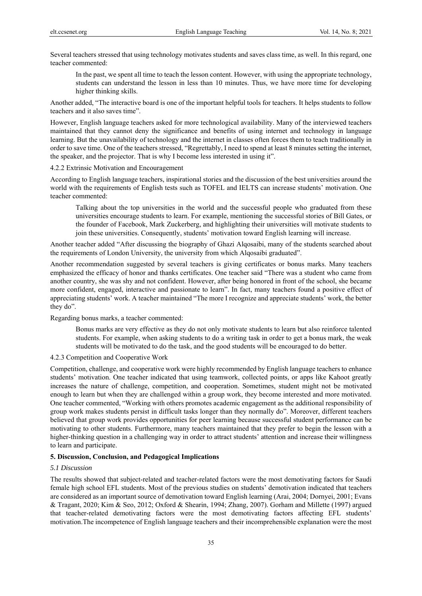Several teachers stressed that using technology motivates students and saves class time, as well. In this regard, one teacher commented:

In the past, we spent all time to teach the lesson content. However, with using the appropriate technology, students can understand the lesson in less than 10 minutes. Thus, we have more time for developing higher thinking skills.

Another added, "The interactive board is one of the important helpful tools for teachers. It helps students to follow teachers and it also saves time".

However, English language teachers asked for more technological availability. Many of the interviewed teachers maintained that they cannot deny the significance and benefits of using internet and technology in language learning. But the unavailability of technology and the internet in classes often forces them to teach traditionally in order to save time. One of the teachers stressed, "Regrettably, I need to spend at least 8 minutes setting the internet, the speaker, and the projector. That is why I become less interested in using it".

## 4.2.2 Extrinsic Motivation and Encouragement

According to English language teachers, inspirational stories and the discussion of the best universities around the world with the requirements of English tests such as TOFEL and IELTS can increase students' motivation. One teacher commented:

Talking about the top universities in the world and the successful people who graduated from these universities encourage students to learn. For example, mentioning the successful stories of Bill Gates, or the founder of Facebook, Mark Zuckerberg, and highlighting their universities will motivate students to join these universities. Consequently, students' motivation toward English learning will increase.

Another teacher added "After discussing the biography of Ghazi Alqosaibi, many of the students searched about the requirements of London University, the university from which Alqosaibi graduated".

Another recommendation suggested by several teachers is giving certificates or bonus marks. Many teachers emphasized the efficacy of honor and thanks certificates. One teacher said "There was a student who came from another country, she was shy and not confident. However, after being honored in front of the school, she became more confident, engaged, interactive and passionate to learn". In fact, many teachers found a positive effect of appreciating students' work. A teacher maintained "The more I recognize and appreciate students' work, the better they do".

Regarding bonus marks, a teacher commented:

Bonus marks are very effective as they do not only motivate students to learn but also reinforce talented students. For example, when asking students to do a writing task in order to get a bonus mark, the weak students will be motivated to do the task, and the good students will be encouraged to do better.

# 4.2.3 Competition and Cooperative Work

Competition, challenge, and cooperative work were highly recommended by English language teachers to enhance students' motivation. One teacher indicated that using teamwork, collected points, or apps like Kahoot greatly increases the nature of challenge, competition, and cooperation. Sometimes, student might not be motivated enough to learn but when they are challenged within a group work, they become interested and more motivated. One teacher commented, "Working with others promotes academic engagement as the additional responsibility of group work makes students persist in difficult tasks longer than they normally do". Moreover, different teachers believed that group work provides opportunities for peer learning because successful student performance can be motivating to other students. Furthermore, many teachers maintained that they prefer to begin the lesson with a higher-thinking question in a challenging way in order to attract students' attention and increase their willingness to learn and participate.

#### **5. Discussion, Conclusion, and Pedagogical Implications**

#### *5.1 Discussion*

The results showed that subject-related and teacher-related factors were the most demotivating factors for Saudi female high school EFL students. Most of the previous studies on students' demotivation indicated that teachers are considered as an important source of demotivation toward English learning (Arai, 2004; Dornyei, 2001; Evans & Tragant, 2020; Kim & Seo, 2012; Oxford & Shearin, 1994; Zhang, 2007). Gorham and Millette (1997) argued that teacher-related demotivating factors were the most demotivating factors affecting EFL students' motivation.The incompetence of English language teachers and their incomprehensible explanation were the most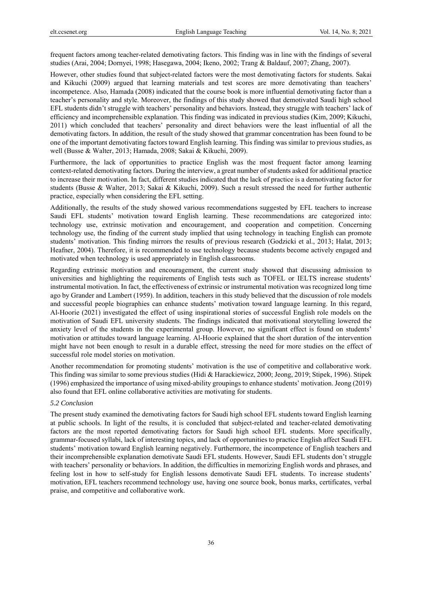frequent factors among teacher-related demotivating factors. This finding was in line with the findings of several studies (Arai, 2004; Dornyei, 1998; Hasegawa, 2004; Ikeno, 2002; Trang & Baldauf, 2007; Zhang, 2007).

However, other studies found that subject-related factors were the most demotivating factors for students. Sakai and Kikuchi (2009) argued that learning materials and test scores are more demotivating than teachers' incompetence. Also, Hamada (2008) indicated that the course book is more influential demotivating factor than a teacher's personality and style. Moreover, the findings of this study showed that demotivated Saudi high school EFL students didn't struggle with teachers' personality and behaviors. Instead, they struggle with teachers' lack of efficiency and incomprehensible explanation. This finding was indicated in previous studies (Kim, 2009; Kikuchi, 2011) which concluded that teachers' personality and direct behaviors were the least influential of all the demotivating factors. In addition, the result of the study showed that grammar concentration has been found to be one of the important demotivating factors toward English learning. This finding was similar to previous studies, as well (Busse & Walter, 2013; Hamada, 2008; Sakai & Kikuchi, 2009).

Furthermore, the lack of opportunities to practice English was the most frequent factor among learning context-related demotivating factors. During the interview, a great number of students asked for additional practice to increase their motivation. In fact, different studies indicated that the lack of practice is a demotivating factor for students (Busse & Walter, 2013; Sakai & Kikuchi, 2009). Such a result stressed the need for further authentic practice, especially when considering the EFL setting.

Additionally, the results of the study showed various recommendations suggested by EFL teachers to increase Saudi EFL students' motivation toward English learning. These recommendations are categorized into: technology use, extrinsic motivation and encouragement, and cooperation and competition. Concerning technology use, the finding of the current study implied that using technology in teaching English can promote students' motivation. This finding mirrors the results of previous research (Godzicki et al., 2013; Halat, 2013; Heafner, 2004). Therefore, it is recommended to use technology because students become actively engaged and motivated when technology is used appropriately in English classrooms.

Regarding extrinsic motivation and encouragement, the current study showed that discussing admission to universities and highlighting the requirements of English tests such as TOFEL or IELTS increase students' instrumental motivation. In fact, the effectiveness of extrinsic or instrumental motivation was recognized long time ago by Grander and Lambert (1959). In addition, teachers in this study believed that the discussion of role models and successful people biographies can enhance students' motivation toward language learning. In this regard, Al-Hoorie (2021) investigated the effect of using inspirational stories of successful English role models on the motivation of Saudi EFL university students. The findings indicated that motivational storytelling lowered the anxiety level of the students in the experimental group. However, no significant effect is found on students' motivation or attitudes toward language learning. Al-Hoorie explained that the short duration of the intervention might have not been enough to result in a durable effect, stressing the need for more studies on the effect of successful role model stories on motivation.

Another recommendation for promoting students' motivation is the use of competitive and collaborative work. This finding was similar to some previous studies (Hidi & Harackiewicz, 2000; Jeong, 2019; Stipek, 1996). Stipek (1996) emphasized the importance of using mixed-ability groupings to enhance students' motivation. Jeong (2019) also found that EFL online collaborative activities are motivating for students.

#### *5.2 Conclusion*

The present study examined the demotivating factors for Saudi high school EFL students toward English learning at public schools. In light of the results, it is concluded that subject-related and teacher-related demotivating factors are the most reported demotivating factors for Saudi high school EFL students. More specifically, grammar-focused syllabi, lack of interesting topics, and lack of opportunities to practice English affect Saudi EFL students' motivation toward English learning negatively. Furthermore, the incompetence of English teachers and their incomprehensible explanation demotivate Saudi EFL students. However, Saudi EFL students don't struggle with teachers' personality or behaviors. In addition, the difficulties in memorizing English words and phrases, and feeling lost in how to self-study for English lessons demotivate Saudi EFL students. To increase students' motivation, EFL teachers recommend technology use, having one source book, bonus marks, certificates, verbal praise, and competitive and collaborative work.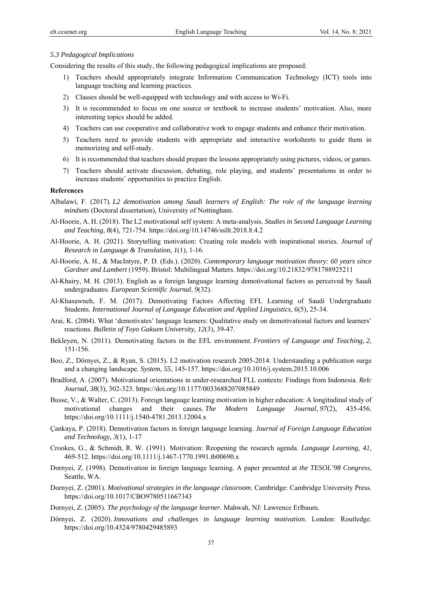## *5.3 Pedagogical Implications*

Considering the results of this study, the following pedagogical implications are proposed:

- 1) Teachers should appropriately integrate Information Communication Technology (ICT) tools into language teaching and learning practices.
- 2) Classes should be well-equipped with technology and with access to Wi-Fi.
- 3) It is recommended to focus on one source or textbook to increase students' motivation. Also, more interesting topics should be added.
- 4) Teachers can use cooperative and collaborative work to engage students and enhance their motivation.
- 5) Teachers need to provide students with appropriate and interactive worksheets to guide them in memorizing and self-study.
- 6) It is recommended that teachers should prepare the lessons appropriately using pictures, videos, or games.
- 7) Teachers should activate discussion, debating, role playing, and students' presentations in order to increase students' opportunities to practice English.

# **References**

- Albalawi, F. (2017). *L2 demotivation among Saudi learners of English: The role of the language learning mindsets* (Doctoral dissertation), University of Nottingham.
- Al-Hoorie, A. H. (2018). The L2 motivational self system: A meta-analysis. *Studies in Second Language Learning and Teaching, 8*(4), 721-754. https://doi.org/10.14746/ssllt.2018.8.4.2
- Al-Hoorie, A. H. (2021). Storytelling motivation: Creating role models with inspirational stories. *Journal of Research in Language & Translation, 1*(1), 1-16.
- Al-Hoorie, A. H., & MacIntyre, P. D. (Eds.). (2020). *Contemporary language motivation theory: 60 years since Gardner and Lambert* (1959). Bristol: Multilingual Matters. https://doi.org/10.21832/9781788925211
- Al-Khairy, M. H. (2013). English as a foreign language learning demotivational factors as perceived by Saudi undergraduates. *European Scientific Journal, 9*(32).
- Al-Khasawneh, F. M. (2017). Demotivating Factors Affecting EFL Learning of Saudi Undergraduate Students. *International Journal of Language Education and Applied Linguistics, 6*(5), 25-34.
- Arai, K. (2004). What 'demotivates' language learners: Qualitative study on demotivational factors and learners' reactions. *Bulletin of Toyo Gakuen University, 12*(3), 39-47.
- Bekleyen, N. (2011). Demotivating factors in the EFL environment. *Frontiers of Language and Teaching, 2*, 151-156.
- Boo, Z., Dörnyei, Z., & Ryan, S. (2015). L2 motivation research 2005-2014: Understanding a publication surge and a changing landscape. *System, 55*, 145-157. https://doi.org/10.1016/j.system.2015.10.006
- Bradford, A. (2007). Motivational orientations in under-researched FLL contexts: Findings from Indonesia. *Relc Journal, 38*(3), 302-323. https://doi.org/10.1177/0033688207085849
- Busse, V., & Walter, C. (2013). Foreign language learning motivation in higher education: A longitudinal study of motivational changes and their causes. *The Modern Language Journal, 97*(2), 435-456. https://doi.org/10.1111/j.1540-4781.2013.12004.x
- Çankaya, P. (2018). Demotivation factors in foreign language learning. *Journal of Foreign Language Education and Technology, 3*(1), 1-17
- Crookes, G., & Schmidt, R. W. (1991). Motivation: Reopening the research agenda. *Language Learning, 41*, 469-512. https://doi.org/10.1111/j.1467-1770.1991.tb00690.x
- Dornyei, Z. (1998). Demotivation in foreign language learning*.* A paper presented at *the TESOL'98 Congress*, Seattle, WA.
- Dornyei, Z. (2001). *Motivational strategies in the language classroom*. Cambridge: Cambridge University Press. https://doi.org/10.1017/CBO9780511667343
- Dornyei, Z. (2005). *The psychology of the language learner.* Mahwah, NJ: Lawrence Erlbaum.
- Dörnyei, Z. (2020). *Innovations and challenges in language learning motivation*. London: Routledge. https://doi.org/10.4324/9780429485893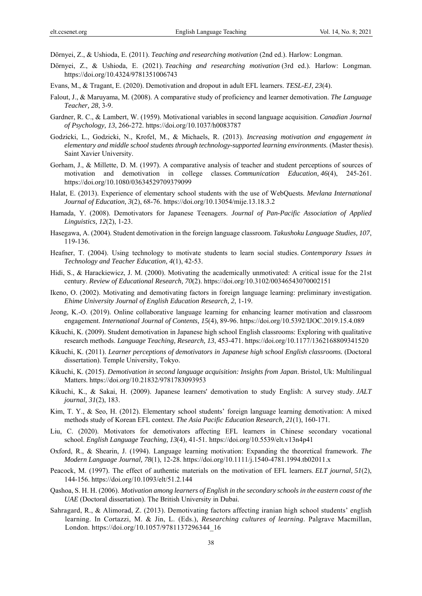Dörnyei, Z., & Ushioda, E. (2011). *Teaching and researching motivation* (2nd ed.). Harlow: Longman.

- Dörnyei, Z., & Ushioda, E. (2021). *Teaching and researching motivation* (3rd ed.). Harlow: Longman. https://doi.org/10.4324/9781351006743
- Evans, M., & Tragant, E. (2020). Demotivation and dropout in adult EFL learners. *TESL-EJ, 23*(4).
- Falout, J., & Maruyama, M. (2008). A comparative study of proficiency and learner demotivation. *The Language Teacher, 28*, 3-9.
- Gardner, R. C., & Lambert, W. (1959). Motivational variables in second language acquisition. *Canadian Journal of Psychology, 13*, 266-272. https://doi.org/10.1037/h0083787
- Godzicki, L., Godzicki, N., Krofel, M., & Michaels, R. (2013). *Increasing motivation and engagement in elementary and middle school students through technology-supported learning environments*. (Master thesis). Saint Xavier University.
- Gorham, J., & Millette, D. M. (1997). A comparative analysis of teacher and student perceptions of sources of motivation and demotivation in college classes. *Communication Education, 46*(4), 245-261. https://doi.org/10.1080/03634529709379099
- Halat, E. (2013). Experience of elementary school students with the use of WebQuests. *Mevlana International Journal of Education, 3*(2), 68-76. https://doi.org/10.13054/mije.13.18.3.2
- Hamada, Y. (2008). Demotivators for Japanese Teenagers. *Journal of Pan-Pacific Association of Applied Linguistics, 12*(2), 1-23.
- Hasegawa, A. (2004). Student demotivation in the foreign language classroom. *Takushoku Language Studies, 107*, 119-136.
- Heafner, T. (2004). Using technology to motivate students to learn social studies. *Contemporary Issues in Technology and Teacher Education, 4*(1), 42-53.
- Hidi, S., & Harackiewicz, J. M. (2000). Motivating the academically unmotivated: A critical issue for the 21st century. *Review of Educational Research, 70*(2). https://doi.org/10.3102/00346543070002151
- Ikeno, O. (2002). Motivating and demotivating factors in foreign language learning: preliminary investigation. *Ehime University Journal of English Education Research, 2*, 1-19.
- Jeong, K.-O. (2019). Online collaborative language learning for enhancing learner motivation and classroom engagement. *International Journal of Contents, 15*(4), 89-96. https://doi.org/10.5392/IJOC.2019.15.4.089
- Kikuchi, K. (2009). Student demotivation in Japanese high school English classrooms: Exploring with qualitative research methods. *Language Teaching, Research, 13*, 453-471. https://doi.org/10.1177/1362168809341520
- Kikuchi, K. (2011). *Learner perceptions of demotivators in Japanese high school English classrooms.* (Doctoral dissertation). Temple University, Tokyo.
- Kikuchi, K. (2015). *Demotivation in second language acquisition: Insights from Japan*. Bristol, Uk: Multilingual Matters. https://doi.org/10.21832/9781783093953
- Kikuchi, K., & Sakai, H. (2009). Japanese learners' demotivation to study English: A survey study. *JALT journal, 31*(2), 183.
- Kim, T. Y., & Seo, H. (2012). Elementary school students' foreign language learning demotivation: A mixed methods study of Korean EFL context. *The Asia Pacific Education Research, 21*(1), 160-171.
- Liu, C. (2020). Motivators for demotivators affecting EFL learners in Chinese secondary vocational school. *English Language Teaching, 13*(4), 41-51. https://doi.org/10.5539/elt.v13n4p41
- Oxford, R., & Shearin, J. (1994). Language learning motivation: Expanding the theoretical framework. *The Modern Language Journal, 78*(1), 12-28. https://doi.org/10.1111/j.1540-4781.1994.tb02011.x
- Peacock, M. (1997). The effect of authentic materials on the motivation of EFL learners. *ELT journal, 51*(2), 144-156. https://doi.org/10.1093/elt/51.2.144
- Qashoa, S. H. H. (2006). *Motivation among learners of English in the secondary schools in the eastern coast of the UAE* (Doctoral dissertation). The British University in Dubai.
- Sahragard, R., & Alimorad, Z. (2013). Demotivating factors affecting iranian high school students' english learning. In Cortazzi, M. & Jin, L. (Eds.), *Researching cultures of learning*. Palgrave Macmillan, London. https://doi.org/10.1057/9781137296344\_16